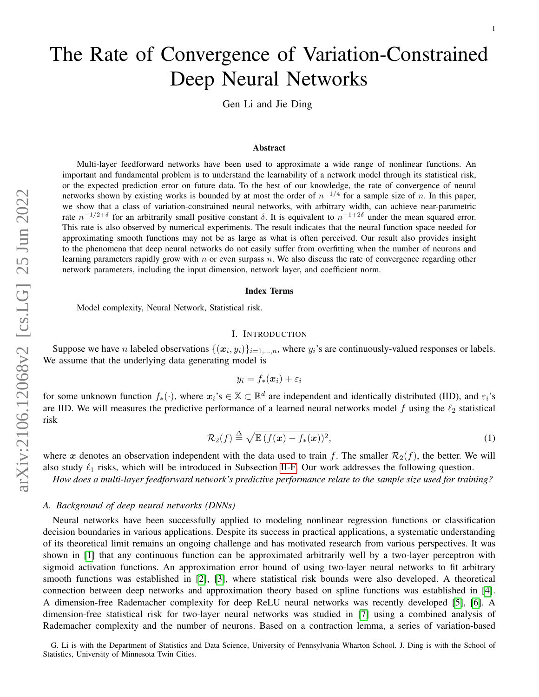# The Rate of Convergence of Variation-Constrained Deep Neural Networks

Gen Li and Jie Ding

#### Abstract

Multi-layer feedforward networks have been used to approximate a wide range of nonlinear functions. An important and fundamental problem is to understand the learnability of a network model through its statistical risk, or the expected prediction error on future data. To the best of our knowledge, the rate of convergence of neural networks shown by existing works is bounded by at most the order of  $n^{-1/4}$  for a sample size of n. In this paper, we show that a class of variation-constrained neural networks, with arbitrary width, can achieve near-parametric rate  $n^{-1/2+\delta}$  for an arbitrarily small positive constant δ. It is equivalent to  $n^{-1+2\delta}$  under the mean squared error. This rate is also observed by numerical experiments. The result indicates that the neural function space needed for approximating smooth functions may not be as large as what is often perceived. Our result also provides insight to the phenomena that deep neural networks do not easily suffer from overfitting when the number of neurons and learning parameters rapidly grow with  $n$  or even surpass  $n$ . We also discuss the rate of convergence regarding other network parameters, including the input dimension, network layer, and coefficient norm.

#### Index Terms

Model complexity, Neural Network, Statistical risk.

# I. INTRODUCTION

<span id="page-0-1"></span>Suppose we have *n* labeled observations  $\{(x_i, y_i)\}_{i=1,\dots,n}$ , where  $y_i$ 's are continuously-valued responses or labels. We assume that the underlying data generating model is

<span id="page-0-0"></span>
$$
y_i = f_*(\bm{x}_i) + \varepsilon_i
$$

for some unknown function  $f_*(\cdot)$ , where  $x_i$ 's  $\in \mathbb{X} \subset \mathbb{R}^d$  are independent and identically distributed (IID), and  $\varepsilon_i$ 's are IID. We will measures the predictive performance of a learned neural networks model  $f$  using the  $\ell_2$  statistical risk

$$
\mathcal{R}_2(f) \stackrel{\Delta}{=} \sqrt{\mathbb{E}\left(f(\boldsymbol{x}) - f_*(\boldsymbol{x})\right)^2},\tag{1}
$$

where x denotes an observation independent with the data used to train f. The smaller  $\mathcal{R}_2(f)$ , the better. We will also study  $\ell_1$  risks, which will be introduced in Subsection [II-F.](#page-3-0) Our work addresses the following question.

*How does a multi-layer feedforward network's predictive performance relate to the sample size used for training?*

## *A. Background of deep neural networks (DNNs)*

Neural networks have been successfully applied to modeling nonlinear regression functions or classification decision boundaries in various applications. Despite its success in practical applications, a systematic understanding of its theoretical limit remains an ongoing challenge and has motivated research from various perspectives. It was shown in [\[1\]](#page-14-0) that any continuous function can be approximated arbitrarily well by a two-layer perceptron with sigmoid activation functions. An approximation error bound of using two-layer neural networks to fit arbitrary smooth functions was established in [\[2\]](#page-14-1), [\[3\]](#page-14-2), where statistical risk bounds were also developed. A theoretical connection between deep networks and approximation theory based on spline functions was established in [\[4\]](#page-14-3). A dimension-free Rademacher complexity for deep ReLU neural networks was recently developed [\[5\]](#page-14-4), [\[6\]](#page-14-5). A dimension-free statistical risk for two-layer neural networks was studied in [\[7\]](#page-14-6) using a combined analysis of Rademacher complexity and the number of neurons. Based on a contraction lemma, a series of variation-based

G. Li is with the Department of Statistics and Data Science, University of Pennsylvania Wharton School. J. Ding is with the School of Statistics, University of Minnesota Twin Cities.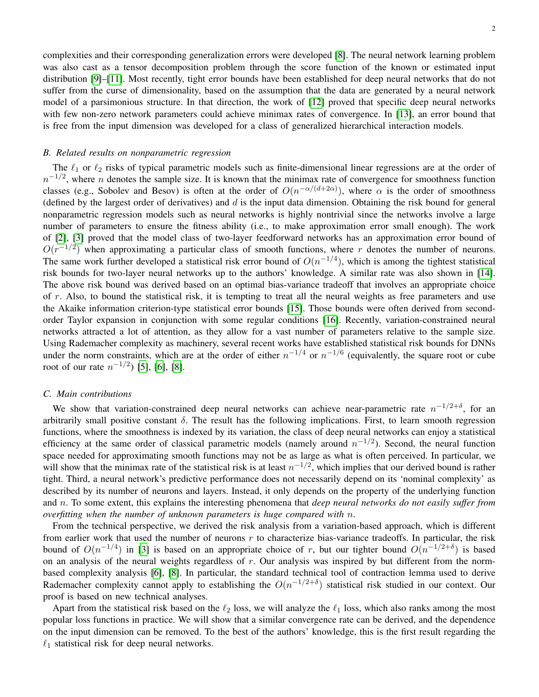complexities and their corresponding generalization errors were developed [\[8\]](#page-14-7). The neural network learning problem was also cast as a tensor decomposition problem through the score function of the known or estimated input distribution [\[9\]](#page-14-8)–[\[11\]](#page-14-9). Most recently, tight error bounds have been established for deep neural networks that do not suffer from the curse of dimensionality, based on the assumption that the data are generated by a neural network model of a parsimonious structure. In that direction, the work of [\[12\]](#page-14-10) proved that specific deep neural networks with few non-zero network parameters could achieve minimax rates of convergence. In [\[13\]](#page-14-11), an error bound that is free from the input dimension was developed for a class of generalized hierarchical interaction models.

#### <span id="page-1-0"></span>*B. Related results on nonparametric regression*

The  $\ell_1$  or  $\ell_2$  risks of typical parametric models such as finite-dimensional linear regressions are at the order of  $n^{-1/2}$ , where n denotes the sample size. It is known that the minimax rate of convergence for smoothness function classes (e.g., Sobolev and Besov) is often at the order of  $O(n^{-\alpha/(d+2\alpha)})$ , where  $\alpha$  is the order of smoothness (defined by the largest order of derivatives) and  $d$  is the input data dimension. Obtaining the risk bound for general nonparametric regression models such as neural networks is highly nontrivial since the networks involve a large number of parameters to ensure the fitness ability (i.e., to make approximation error small enough). The work of [\[2\]](#page-14-1), [\[3\]](#page-14-2) proved that the model class of two-layer feedforward networks has an approximation error bound of  $O(r^{-1/2})$  when approximating a particular class of smooth functions, where r denotes the number of neurons. The same work further developed a statistical risk error bound of  $O(n^{-1/4})$ , which is among the tightest statistical risk bounds for two-layer neural networks up to the authors' knowledge. A similar rate was also shown in [\[14\]](#page-14-12). The above risk bound was derived based on an optimal bias-variance tradeoff that involves an appropriate choice of r. Also, to bound the statistical risk, it is tempting to treat all the neural weights as free parameters and use the Akaike information criterion-type statistical error bounds [\[15\]](#page-14-13). Those bounds were often derived from secondorder Taylor expansion in conjunction with some regular conditions [\[16\]](#page-14-14). Recently, variation-constrained neural networks attracted a lot of attention, as they allow for a vast number of parameters relative to the sample size. Using Rademacher complexity as machinery, several recent works have established statistical risk bounds for DNNs under the norm constraints, which are at the order of either  $n^{-1/4}$  or  $n^{-1/6}$  (equivalently, the square root or cube root of our rate  $n^{-1/2}$ ) [\[5\]](#page-14-4), [\[6\]](#page-14-5), [\[8\]](#page-14-7).

## *C. Main contributions*

We show that variation-constrained deep neural networks can achieve near-parametric rate  $n^{-1/2+\delta}$ , for an arbitrarily small positive constant  $\delta$ . The result has the following implications. First, to learn smooth regression functions, where the smoothness is indexed by its variation, the class of deep neural networks can enjoy a statistical efficiency at the same order of classical parametric models (namely around  $n^{-1/2}$ ). Second, the neural function space needed for approximating smooth functions may not be as large as what is often perceived. In particular, we will show that the minimax rate of the statistical risk is at least  $n^{-1/2}$ , which implies that our derived bound is rather tight. Third, a neural network's predictive performance does not necessarily depend on its 'nominal complexity' as described by its number of neurons and layers. Instead, it only depends on the property of the underlying function and n. To some extent, this explains the interesting phenomena that *deep neural networks do not easily suffer from overfitting when the number of unknown parameters is huge compared with* n.

From the technical perspective, we derived the risk analysis from a variation-based approach, which is different from earlier work that used the number of neurons  $r$  to characterize bias-variance tradeoffs. In particular, the risk bound of  $O(n^{-1/4})$  in [\[3\]](#page-14-2) is based on an appropriate choice of r, but our tighter bound  $O(n^{-1/2+\delta})$  is based on an analysis of the neural weights regardless of  $r$ . Our analysis was inspired by but different from the normbased complexity analysis [\[6\]](#page-14-5), [\[8\]](#page-14-7). In particular, the standard technical tool of contraction lemma used to derive Rademacher complexity cannot apply to establishing the  $O(n^{-1/2+\delta})$  statistical risk studied in our context. Our proof is based on new technical analyses.

Apart from the statistical risk based on the  $\ell_2$  loss, we will analyze the  $\ell_1$  loss, which also ranks among the most popular loss functions in practice. We will show that a similar convergence rate can be derived, and the dependence on the input dimension can be removed. To the best of the authors' knowledge, this is the first result regarding the  $\ell_1$  statistical risk for deep neural networks.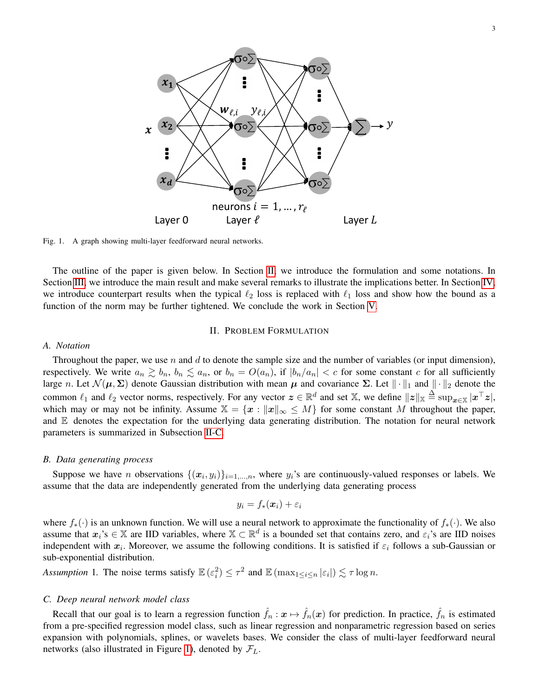

<span id="page-2-2"></span>Fig. 1. A graph showing multi-layer feedforward neural networks.

The outline of the paper is given below. In Section [II,](#page-2-0) we introduce the formulation and some notations. In Section [III,](#page-4-0) we introduce the main result and make several remarks to illustrate the implications better. In Section [IV,](#page-7-0) we introduce counterpart results when the typical  $\ell_2$  loss is replaced with  $\ell_1$  loss and show how the bound as a function of the norm may be further tightened. We conclude the work in Section [V.](#page-8-0)

# II. PROBLEM FORMULATION

#### <span id="page-2-0"></span>*A. Notation*

Throughout the paper, we use n and d to denote the sample size and the number of variables (or input dimension), respectively. We write  $a_n \gtrsim b_n$ ,  $b_n \lesssim a_n$ , or  $b_n = O(a_n)$ , if  $|b_n/a_n| < c$  for some constant c for all sufficiently large n. Let  $\mathcal{N}(\mu, \Sigma)$  denote Gaussian distribution with mean  $\mu$  and covariance  $\Sigma$ . Let  $\|\cdot\|_1$  and  $\|\cdot\|_2$  denote the common  $\ell_1$  and  $\ell_2$  vector norms, respectively. For any vector  $\boldsymbol{z} \in \mathbb{R}^d$  and set X, we define  $||\boldsymbol{z}||_{\mathbb{X}} \triangleq \sup_{\boldsymbol{x} \in \mathbb{X}} |\boldsymbol{x}^\top \boldsymbol{z}|$ , which may or may not be infinity. Assume  $\mathbb{X} = \{x : ||x||_{\infty} \leq M\}$  for some constant M throughout the paper, and  $E$  denotes the expectation for the underlying data generating distribution. The notation for neural network parameters is summarized in Subsection [II-C.](#page-2-1)

## *B. Data generating process*

Suppose we have *n* observations  $\{(x_i, y_i)\}_{i=1,\dots,n}$ , where  $y_i$ 's are continuously-valued responses or labels. We assume that the data are independently generated from the underlying data generating process

$$
y_i = f_*(\boldsymbol{x}_i) + \varepsilon_i
$$

where  $f_*(\cdot)$  is an unknown function. We will use a neural network to approximate the functionality of  $f_*(\cdot)$ . We also assume that  $x_i$ 's  $\in \mathbb{X}$  are IID variables, where  $\mathbb{X} \subset \mathbb{R}^d$  is a bounded set that contains zero, and  $\varepsilon_i$ 's are IID noises independent with  $x_i$ . Moreover, we assume the following conditions. It is satisfied if  $\varepsilon_i$  follows a sub-Gaussian or sub-exponential distribution.

<span id="page-2-3"></span>*Assumption* 1. The noise terms satisfy  $\mathbb{E}(\varepsilon_i^2) \leq \tau^2$  and  $\mathbb{E}(\max_{1 \leq i \leq n} |\varepsilon_i|) \lesssim \tau \log n$ .

# <span id="page-2-1"></span>*C. Deep neural network model class*

Recall that our goal is to learn a regression function  $\hat{f}_n : \mathbf{x} \mapsto \hat{f}_n(\mathbf{x})$  for prediction. In practice,  $\hat{f}_n$  is estimated from a pre-specified regression model class, such as linear regression and nonparametric regression based on series expansion with polynomials, splines, or wavelets bases. We consider the class of multi-layer feedforward neural networks (also illustrated in Figure [1\)](#page-2-2), denoted by  $\mathcal{F}_L$ .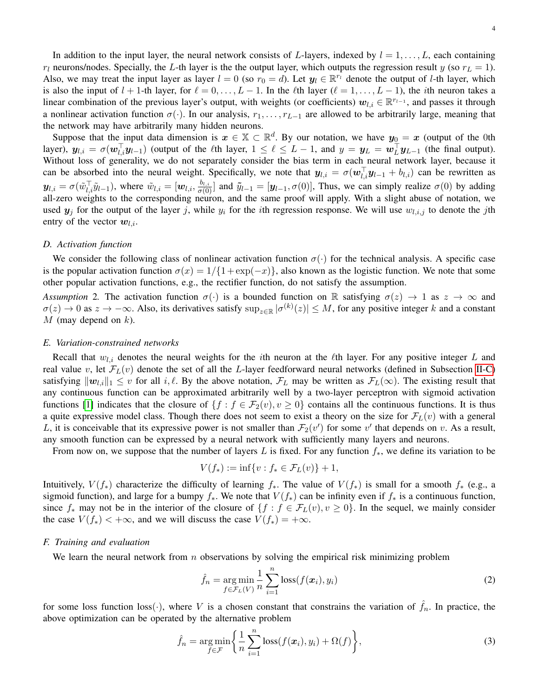4

In addition to the input layer, the neural network consists of L-layers, indexed by  $l = 1, \ldots, L$ , each containing  $r_l$  neurons/nodes. Specially, the L-th layer is the the output layer, which outputs the regression result y (so  $r_l = 1$ ). Also, we may treat the input layer as layer  $l = 0$  (so  $r_0 = d$ ). Let  $y_l \in \mathbb{R}^{r_l}$  denote the output of *l*-th layer, which is also the input of  $l + 1$ -th layer, for  $\ell = 0, \ldots, L - 1$ . In the  $\ell$ th layer ( $\ell = 1, \ldots, L - 1$ ), the *i*th neuron takes a linear combination of the previous layer's output, with weights (or coefficients)  $w_{l,i} \in \mathbb{R}^{r_{l-1}}$ , and passes it through a nonlinear activation function  $\sigma(\cdot)$ . In our analysis,  $r_1, \ldots, r_{L-1}$  are allowed to be arbitrarily large, meaning that the network may have arbitrarily many hidden neurons.

Suppose that the input data dimension is  $x \in \mathbb{X} \subset \mathbb{R}^d$ . By our notation, we have  $y_0 = x$  (output of the 0th layer),  $y_{l,i} = \sigma(w_{l,i}^{\top}y_{l-1})$  (output of the  $\ell$ th layer,  $1 \leq \ell \leq L-1$ , and  $y = y_L = w_L^{\top}y_{L-1}$  (the final output). Without loss of generality, we do not separately consider the bias term in each neural network layer, because it can be absorbed into the neural weight. Specifically, we note that  $y_{l,i} = \sigma(w_{l,i}^{\top}y_{l-1} + b_{l,i})$  can be rewritten as  $y_{l,i} = \sigma(\tilde{w}_{l,i}^{\top} \tilde{y}_{l-1})$ , where  $\tilde{w}_{l,i} = [\boldsymbol{w}_{l,i}, \frac{b_{l,i}}{\sigma(0)}]$  and  $\tilde{y}_{l-1} = [\boldsymbol{y}_{l-1}, \sigma(0)]$ , Thus, we can simply realize  $\sigma(0)$  by adding all-zero weights to the corresponding neuron, and the same proof will apply. With a slight abuse of notation, we used  $y_j$  for the output of the layer j, while  $y_i$  for the ith regression response. We will use  $w_{l,i,j}$  to denote the jth entry of the vector  $w_{l,i}$ .

## *D. Activation function*

We consider the following class of nonlinear activation function  $\sigma(\cdot)$  for the technical analysis. A specific case is the popular activation function  $\sigma(x) = 1/\{1 + \exp(-x)\}\)$ , also known as the logistic function. We note that some other popular activation functions, e.g., the rectifier function, do not satisfy the assumption.

<span id="page-3-2"></span>*Assumption* 2. The activation function  $\sigma(\cdot)$  is a bounded function on R satisfying  $\sigma(z) \to 1$  as  $z \to \infty$  and  $\sigma(z) \to 0$  as  $z \to -\infty$ . Also, its derivatives satisfy  $\sup_{z \in \mathbb{R}} |\sigma^{(k)}(z)| \leq M$ , for any positive integer k and a constant  $M$  (may depend on  $k$ ).

#### *E. Variation-constrained networks*

Recall that  $w_{l,i}$  denotes the neural weights for the *i*th neuron at the  $\ell$ th layer. For any positive integer L and real value v, let  $\mathcal{F}_L(v)$  denote the set of all the L-layer feedforward neural networks (defined in Subsection [II-C\)](#page-2-1) satisfying  $\|\mathbf{w}_{l,i}\|_1 \leq v$  for all  $i, \ell$ . By the above notation,  $\mathcal{F}_L$  may be written as  $\mathcal{F}_L(\infty)$ . The existing result that any continuous function can be approximated arbitrarily well by a two-layer perceptron with sigmoid activation functions [\[1\]](#page-14-0) indicates that the closure of  $\{f : f \in \mathcal{F}_2(v), v \ge 0\}$  contains all the continuous functions. It is thus a quite expressive model class. Though there does not seem to exist a theory on the size for  $\mathcal{F}_L(v)$  with a general L, it is conceivable that its expressive power is not smaller than  $\mathcal{F}_2(v')$  for some v' that depends on v. As a result, any smooth function can be expressed by a neural network with sufficiently many layers and neurons.

From now on, we suppose that the number of layers L is fixed. For any function  $f_*$ , we define its variation to be

$$
V(f_*) := \inf \{ v : f_* \in \mathcal{F}_L(v) \} + 1,
$$

Intuitively,  $V(f_*)$  characterize the difficulty of learning  $f_*$ . The value of  $V(f_*)$  is small for a smooth  $f_*$  (e.g., a sigmoid function), and large for a bumpy  $f_*$ . We note that  $V(f_*)$  can be infinity even if  $f_*$  is a continuous function, since  $f_*$  may not be in the interior of the closure of  $\{f : f \in \mathcal{F}_L(v), v \ge 0\}$ . In the sequel, we mainly consider the case  $V(f_*) < +\infty$ , and we will discuss the case  $V(f_*) = +\infty$ .

#### <span id="page-3-0"></span>*F. Training and evaluation*

We learn the neural network from  $n$  observations by solving the empirical risk minimizing problem

<span id="page-3-1"></span>
$$
\hat{f}_n = \underset{f \in \mathcal{F}_L(V)}{\arg \min} \frac{1}{n} \sum_{i=1}^n \text{loss}(f(\boldsymbol{x}_i), y_i)
$$
\n(2)

for some loss function loss( $\cdot$ ), where V is a chosen constant that constrains the variation of  $\hat{f}_n$ . In practice, the above optimization can be operated by the alternative problem

$$
\hat{f}_n = \underset{f \in \mathcal{F}}{\arg \min} \left\{ \frac{1}{n} \sum_{i=1}^n \text{loss}(f(\boldsymbol{x}_i), y_i) + \Omega(f) \right\},\tag{3}
$$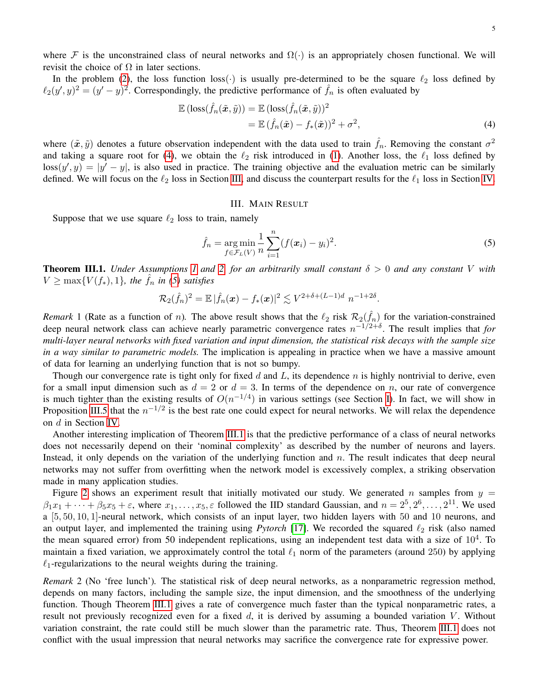where F is the unconstrained class of neural networks and  $\Omega(\cdot)$  is an appropriately chosen functional. We will revisit the choice of  $\Omega$  in later sections.

In the problem [\(2\)](#page-3-1), the loss function loss( $\cdot$ ) is usually pre-determined to be the square  $\ell_2$  loss defined by  $\ell_2(y', y)^2 = (y' - y)^2$ . Correspondingly, the predictive performance of  $\hat{f}_n$  is often evaluated by

$$
\mathbb{E} (\text{loss}(\hat{f}_n(\tilde{\boldsymbol{x}}, \tilde{y})) = \mathbb{E} (\text{loss}(\hat{f}_n(\tilde{\boldsymbol{x}}, \tilde{y}))^2 \n= \mathbb{E} (\hat{f}_n(\tilde{\boldsymbol{x}}) - f_*(\tilde{\boldsymbol{x}}))^2 + \sigma^2,
$$
\n(4)

where  $(\tilde{x}, \tilde{y})$  denotes a future observation independent with the data used to train  $\hat{f}_n$ . Removing the constant  $\sigma^2$ and taking a square root for [\(4\)](#page-4-1), we obtain the  $\ell_2$  risk introduced in [\(1\)](#page-0-0). Another loss, the  $\ell_1$  loss defined by  $\text{loss}(y', y) = |y' - y|$ , is also used in practice. The training objective and the evaluation metric can be similarly defined. We will focus on the  $\ell_2$  loss in Section [III,](#page-4-0) and discuss the counterpart results for the  $\ell_1$  loss in Section [IV.](#page-7-0)

# <span id="page-4-2"></span><span id="page-4-1"></span>III. MAIN RESULT

<span id="page-4-0"></span>Suppose that we use square  $\ell_2$  loss to train, namely

$$
\hat{f}_n = \underset{f \in \mathcal{F}_L(V)}{\arg \min} \frac{1}{n} \sum_{i=1}^n (f(\boldsymbol{x}_i) - y_i)^2.
$$
\n(5)

<span id="page-4-3"></span>**Theorem III.1.** *Under Assumptions [1](#page-2-3) and [2,](#page-3-2) for an arbitrarily small constant*  $\delta > 0$  *and any constant* V *with*  $V \ge \max\{V(f_*), 1\}$ , the  $\hat{f}_n$  in [\(5\)](#page-4-2) satisfies

$$
\mathcal{R}_2(\hat{f}_n)^2 = \mathbb{E} |\hat{f}_n(\boldsymbol{x}) - f_*(\boldsymbol{x})|^2 \lesssim V^{2+\delta + (L-1)d} n^{-1+2\delta}.
$$

*Remark* 1 (Rate as a function of *n*). The above result shows that the  $\ell_2$  risk  $\mathcal{R}_2(\hat{f}_n)$  for the variation-constrained deep neural network class can achieve nearly parametric convergence rates  $n^{-1/2+\delta}$ . The result implies that *for multi-layer neural networks with fixed variation and input dimension, the statistical risk decays with the sample size in a way similar to parametric models.* The implication is appealing in practice when we have a massive amount of data for learning an underlying function that is not so bumpy.

Though our convergence rate is tight only for fixed d and L, its dependence  $n$  is highly nontrivial to derive, even for a small input dimension such as  $d = 2$  or  $d = 3$ . In terms of the dependence on n, our rate of convergence is much tighter than the existing results of  $O(n^{-1/4})$  in various settings (see Section [I\)](#page-0-1). In fact, we will show in Proposition [III.5](#page-7-1) that the  $n^{-1/2}$  is the best rate one could expect for neural networks. We will relax the dependence on d in Section [IV.](#page-7-0)

Another interesting implication of Theorem [III.1](#page-4-3) is that the predictive performance of a class of neural networks does not necessarily depend on their 'nominal complexity' as described by the number of neurons and layers. Instead, it only depends on the variation of the underlying function and  $n$ . The result indicates that deep neural networks may not suffer from overfitting when the network model is excessively complex, a striking observation made in many application studies.

Figure [2](#page-5-0) shows an experiment result that initially motivated our study. We generated n samples from  $y =$  $\beta_1x_1+\cdots+\beta_5x_5+\varepsilon$ , where  $x_1,\ldots,x_5,\varepsilon$  followed the IID standard Gaussian, and  $n=2^5,2^6,\ldots,2^{11}$ . We used a [5, 50, 10, 1]-neural network, which consists of an input layer, two hidden layers with 50 and 10 neurons, and an output layer, and implemented the training using *Pytorch* [\[17\]](#page-14-15). We recorded the squared  $\ell_2$  risk (also named the mean squared error) from 50 independent replications, using an independent test data with a size of  $10^4$ . To maintain a fixed variation, we approximately control the total  $\ell_1$  norm of the parameters (around 250) by applying  $\ell_1$ -regularizations to the neural weights during the training.

*Remark* 2 (No 'free lunch')*.* The statistical risk of deep neural networks, as a nonparametric regression method, depends on many factors, including the sample size, the input dimension, and the smoothness of the underlying function. Though Theorem [III.1](#page-4-3) gives a rate of convergence much faster than the typical nonparametric rates, a result not previously recognized even for a fixed  $d$ , it is derived by assuming a bounded variation V. Without variation constraint, the rate could still be much slower than the parametric rate. Thus, Theorem [III.1](#page-4-3) does not conflict with the usual impression that neural networks may sacrifice the convergence rate for expressive power.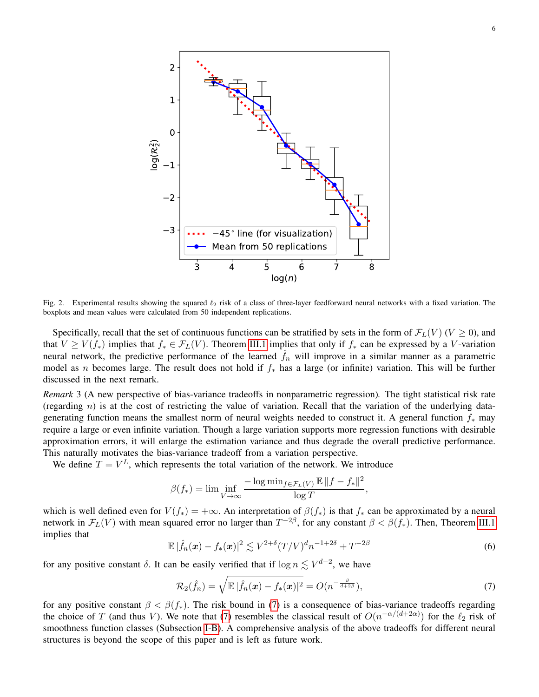

<span id="page-5-0"></span>Fig. 2. Experimental results showing the squared  $\ell_2$  risk of a class of three-layer feedforward neural networks with a fixed variation. The boxplots and mean values were calculated from 50 independent replications.

Specifically, recall that the set of continuous functions can be stratified by sets in the form of  $\mathcal{F}_L(V)$  ( $V \ge 0$ ), and that  $V \ge V(f_*)$  implies that  $f_* \in \mathcal{F}_L(V)$ . Theorem [III.1](#page-4-3) implies that only if  $f_*$  can be expressed by a V-variation neural network, the predictive performance of the learned  $\hat{f}_n$  will improve in a similar manner as a parametric model as n becomes large. The result does not hold if  $f_*$  has a large (or infinite) variation. This will be further discussed in the next remark.

*Remark* 3 (A new perspective of bias-variance tradeoffs in nonparametric regression)*.* The tight statistical risk rate (regarding  $n$ ) is at the cost of restricting the value of variation. Recall that the variation of the underlying datagenerating function means the smallest norm of neural weights needed to construct it. A general function  $f_*$  may require a large or even infinite variation. Though a large variation supports more regression functions with desirable approximation errors, it will enlarge the estimation variance and thus degrade the overall predictive performance. This naturally motivates the bias-variance tradeoff from a variation perspective.

We define  $T = V^L$ , which represents the total variation of the network. We introduce

$$
\beta(f_*) = \lim \inf_{V \to \infty} \frac{-\log \min_{f \in \mathcal{F}_L(V)} \mathbb{E} \, \|f - f_*\|^2}{\log T}
$$

which is well defined even for  $V(f_*) = +\infty$ . An interpretation of  $\beta(f_*)$  is that  $f_*$  can be approximated by a neural network in  $\mathcal{F}_L(V)$  with mean squared error no larger than  $T^{-2\beta}$ , for any constant  $\beta < \beta(f_*)$ . Then, Theorem [III.1](#page-4-3) implies that

$$
\mathbb{E}|\hat{f}_n(\boldsymbol{x}) - f_*(\boldsymbol{x})|^2 \lesssim V^{2+\delta} (T/V)^d n^{-1+2\delta} + T^{-2\beta} \tag{6}
$$

<span id="page-5-1"></span>,

for any positive constant  $\delta$ . It can be easily verified that if  $\log n \lesssim V^{d-2}$ , we have

$$
\mathcal{R}_2(\hat{f}_n) = \sqrt{\mathbb{E}|\hat{f}_n(\boldsymbol{x}) - f_*(\boldsymbol{x})|^2} = O(n^{-\frac{\beta}{d+2\beta}}),\tag{7}
$$

for any positive constant  $\beta < \beta(f_*)$ . The risk bound in [\(7\)](#page-5-1) is a consequence of bias-variance tradeoffs regarding the choice of T (and thus V). We note that [\(7\)](#page-5-1) resembles the classical result of  $O(n^{-\alpha/(d+2\alpha)})$  for the  $\ell_2$  risk of smoothness function classes (Subsection [I-B\)](#page-1-0). A comprehensive analysis of the above tradeoffs for different neural structures is beyond the scope of this paper and is left as future work.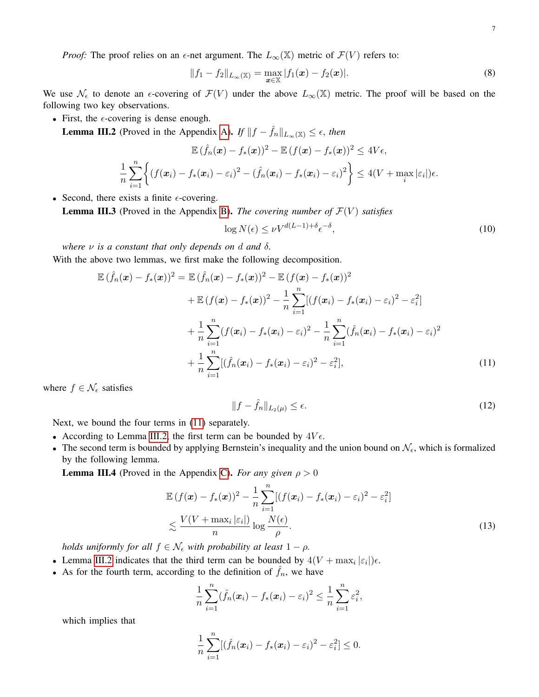$$
||f_1 - f_2||_{L_{\infty}(\mathbb{X})} = \max_{\mathbf{x} \in \mathbb{X}} |f_1(\mathbf{x}) - f_2(\mathbf{x})|.
$$
 (8)

We use  $\mathcal{N}_{\epsilon}$  to denote an  $\epsilon$ -covering of  $\mathcal{F}(V)$  under the above  $L_{\infty}(\mathbb{X})$  metric. The proof will be based on the following two key observations.

• First, the  $\epsilon$ -covering is dense enough.

<span id="page-6-1"></span>**Lemma III.2** (Proved in the Appendix [A\)](#page-8-1). *If*  $||f - \hat{f}_n||_{L_{\infty}(\mathbb{X})} \leq \epsilon$ , *then* 

$$
\mathbb{E}(\hat{f}_n(\boldsymbol{x}) - f_*(\boldsymbol{x}))^2 - \mathbb{E}(f(\boldsymbol{x}) - f_*(\boldsymbol{x}))^2 \le 4V\epsilon,
$$
  

$$
\frac{1}{n}\sum_{i=1}^n \left\{ (f(\boldsymbol{x}_i) - f_*(\boldsymbol{x}_i) - \varepsilon_i)^2 - (\hat{f}_n(\boldsymbol{x}_i) - f_*(\boldsymbol{x}_i) - \varepsilon_i)^2 \right\} \le 4(V + \max_i |\varepsilon_i|)\epsilon.
$$

• Second, there exists a finite  $\epsilon$ -covering.

<span id="page-6-3"></span>**Lemma III.3** (Proved in the Appendix [B\)](#page-9-0). *The covering number of*  $\mathcal{F}(V)$  *satisfies* 

<span id="page-6-2"></span>
$$
\log N(\epsilon) \le \nu V^{d(L-1) + \delta} \epsilon^{-\delta},\tag{10}
$$

*where* ν *is a constant that only depends on* d *and* δ*.* With the above two lemmas, we first make the following decomposition.

$$
\mathbb{E}(\hat{f}_n(\boldsymbol{x}) - f_*(\boldsymbol{x}))^2 = \mathbb{E}(\hat{f}_n(\boldsymbol{x}) - f_*(\boldsymbol{x}))^2 - \mathbb{E}(f(\boldsymbol{x}) - f_*(\boldsymbol{x}))^2 \n+ \mathbb{E}(f(\boldsymbol{x}) - f_*(\boldsymbol{x}))^2 - \frac{1}{n} \sum_{i=1}^n [(f(\boldsymbol{x}_i) - f_*(\boldsymbol{x}_i) - \varepsilon_i)^2 - \varepsilon_i^2] \n+ \frac{1}{n} \sum_{i=1}^n (f(\boldsymbol{x}_i) - f_*(\boldsymbol{x}_i) - \varepsilon_i)^2 - \frac{1}{n} \sum_{i=1}^n (\hat{f}_n(\boldsymbol{x}_i) - f_*(\boldsymbol{x}_i) - \varepsilon_i)^2 \n+ \frac{1}{n} \sum_{i=1}^n [(\hat{f}_n(\boldsymbol{x}_i) - f_*(\boldsymbol{x}_i) - \varepsilon_i)^2 - \varepsilon_i^2], \tag{11}
$$

where  $f \in \mathcal{N}_{\epsilon}$  satisfies

<span id="page-6-0"></span>
$$
||f - \hat{f}_n||_{L_2(\mu)} \le \epsilon. \tag{12}
$$

Next, we bound the four terms in [\(11\)](#page-6-0) separately.

- According to Lemma [III.2,](#page-6-1) the first term can be bounded by  $4V\epsilon$ .
- The second term is bounded by applying Bernstein's inequality and the union bound on  $\mathcal{N}_{\epsilon}$ , which is formalized by the following lemma.

<span id="page-6-4"></span>**Lemma III.4** (Proved in the Appendix [C\)](#page-10-0). *For any given*  $\rho > 0$ 

$$
\mathbb{E}\left(f(\boldsymbol{x}) - f_*(\boldsymbol{x})\right)^2 - \frac{1}{n} \sum_{i=1}^n \left[ (f(\boldsymbol{x}_i) - f_*(\boldsymbol{x}_i) - \varepsilon_i)^2 - \varepsilon_i^2 \right] \\
\lesssim \frac{V(V + \max_i |\varepsilon_i|)}{n} \log \frac{N(\epsilon)}{\rho}.
$$
\n(13)

*holds uniformly for all*  $f \in \mathcal{N}_{\epsilon}$  *with probability at least*  $1 - \rho$ *.* 

- Lemma [III.2](#page-6-1) indicates that the third term can be bounded by  $4(V + \max_i |\varepsilon_i|)\epsilon$ .
- As for the fourth term, according to the definition of  $\hat{f}_n$ , we have

$$
\frac{1}{n}\sum_{i=1}^n(\hat{f}_n(\boldsymbol{x}_i)-f_*(\boldsymbol{x}_i)-\varepsilon_i)^2\leq \frac{1}{n}\sum_{i=1}^n\varepsilon_i^2,
$$

which implies that

$$
\frac{1}{n}\sum_{i=1}^n[(\hat{f}_n(\boldsymbol{x}_i)-f_*(\boldsymbol{x}_i)-\varepsilon_i)^2-\varepsilon_i^2]\leq 0.
$$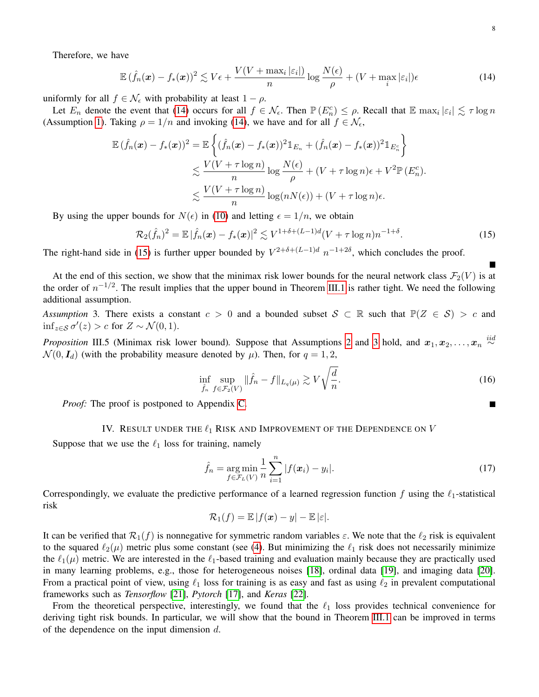Therefore, we have

$$
\mathbb{E} \left( \hat{f}_n(\boldsymbol{x}) - f_*(\boldsymbol{x}) \right)^2 \lesssim V \epsilon + \frac{V(V + \max_i |\varepsilon_i|)}{n} \log \frac{N(\epsilon)}{\rho} + (V + \max_i |\varepsilon_i|) \epsilon \tag{14}
$$

uniformly for all  $f \in \mathcal{N}_{\epsilon}$  with probability at least  $1 - \rho$ .

Let  $E_n$  denote the event that [\(14\)](#page-7-2) occurs for all  $f \in \mathcal{N}_{\epsilon}$ . Then  $\mathbb{P}(E_n^c) \leq \rho$ . Recall that  $\mathbb{E} \max_i |\varepsilon_i| \lesssim \tau \log n$ (Assumption [1\)](#page-2-3). Taking  $\rho = 1/n$  and invoking [\(14\)](#page-7-2), we have and for all  $f \in \mathcal{N}_{\epsilon}$ ,

$$
\mathbb{E} (\hat{f}_n(\boldsymbol{x}) - f_*(\boldsymbol{x}))^2 = \mathbb{E} \left\{ (\hat{f}_n(\boldsymbol{x}) - f_*(\boldsymbol{x}))^2 \mathbb{1}_{E_n} + (\hat{f}_n(\boldsymbol{x}) - f_*(\boldsymbol{x}))^2 \mathbb{1}_{E_n^c} \right\} \n\lesssim \frac{V(V + \tau \log n)}{n} \log \frac{N(\epsilon)}{\rho} + (V + \tau \log n)\epsilon + V^2 \mathbb{P}(E_n^c).
$$
\n
$$
\lesssim \frac{V(V + \tau \log n)}{n} \log(nN(\epsilon)) + (V + \tau \log n)\epsilon.
$$

By using the upper bounds for  $N(\epsilon)$  in [\(10\)](#page-6-2) and letting  $\epsilon = 1/n$ , we obtain

<span id="page-7-3"></span>
$$
\mathcal{R}_2(\hat{f}_n)^2 = \mathbb{E} |\hat{f}_n(\bm{x}) - f_*(\bm{x})|^2 \lesssim V^{1+\delta + (L-1)d} (V + \tau \log n) n^{-1+\delta}.
$$
 (15)

The right-hand side in [\(15\)](#page-7-3) is further upper bounded by  $V^{2+\delta+(L-1)d}$   $n^{-1+2\delta}$ , which concludes the proof.

At the end of this section, we show that the minimax risk lower bounds for the neural network class  $\mathcal{F}_2(V)$  is at the order of  $n^{-1/2}$ . The result implies that the upper bound in Theorem [III.1](#page-4-3) is rather tight. We need the following additional assumption.

<span id="page-7-4"></span>*Assumption* 3. There exists a constant  $c > 0$  and a bounded subset  $S \subset \mathbb{R}$  such that  $\mathbb{P}(Z \in S) > c$  and  $\inf_{z \in \mathcal{S}} \sigma'(z) > c$  for  $Z \sim \mathcal{N}(0, 1)$ .

<span id="page-7-1"></span>*Proposition* III.5 (Minimax risk lower bound). Suppose that Assumptions [2](#page-3-2) and [3](#page-7-4) hold, and  $x_1, x_2, \ldots, x_n \stackrel{iid}{\sim}$  $\mathcal{N}(0, I_d)$  (with the probability measure denoted by  $\mu$ ). Then, for  $q = 1, 2$ ,

$$
\inf_{\hat{f}_n} \sup_{f \in \mathcal{F}_2(V)} \|\hat{f}_n - f\|_{L_q(\mu)} \gtrsim V \sqrt{\frac{d}{n}}.
$$
\n(16)

*Proof:* The proof is postponed to Appendix [C.](#page-11-0)

# IV. RESULT UNDER THE  $\ell_1$  RISK AND IMPROVEMENT OF THE DEPENDENCE ON  $V$

<span id="page-7-0"></span>Suppose that we use the  $\ell_1$  loss for training, namely

$$
\hat{f}_n = \underset{f \in \mathcal{F}_L(V)}{\arg \min} \frac{1}{n} \sum_{i=1}^n |f(\boldsymbol{x}_i) - y_i|.
$$
\n(17)

Correspondingly, we evaluate the predictive performance of a learned regression function f using the  $\ell_1$ -statistical risk

$$
\mathcal{R}_1(f) = \mathbb{E} |f(\boldsymbol{x}) - y| - \mathbb{E} |\varepsilon|.
$$

It can be verified that  $\mathcal{R}_1(f)$  is nonnegative for symmetric random variables  $\varepsilon$ . We note that the  $\ell_2$  risk is equivalent to the squared  $\ell_2(\mu)$  metric plus some constant (see [\(4\)](#page-4-1). But minimizing the  $\ell_1$  risk does not necessarily minimize the  $\ell_1(\mu)$  metric. We are interested in the  $\ell_1$ -based training and evaluation mainly because they are practically used in many learning problems, e.g., those for heterogeneous noises [\[18\]](#page-14-16), ordinal data [\[19\]](#page-14-17), and imaging data [\[20\]](#page-14-18). From a practical point of view, using  $\ell_1$  loss for training is as easy and fast as using  $\ell_2$  in prevalent computational frameworks such as *Tensorflow* [\[21\]](#page-14-19), *Pytorch* [\[17\]](#page-14-15), and *Keras* [\[22\]](#page-14-20).

From the theoretical perspective, interestingly, we found that the  $\ell_1$  loss provides technical convenience for deriving tight risk bounds. In particular, we will show that the bound in Theorem [III.1](#page-4-3) can be improved in terms of the dependence on the input dimension  $d$ .

<span id="page-7-5"></span><span id="page-7-2"></span>П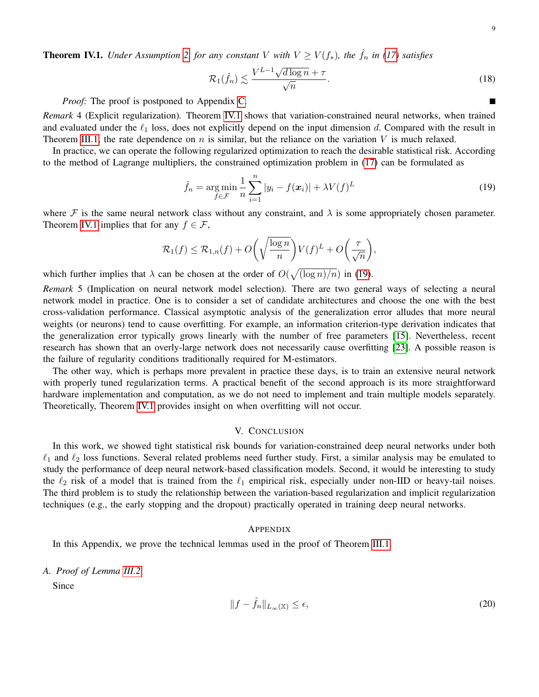$\blacksquare$ 

<span id="page-8-2"></span>**Theorem IV.1.** *Under Assumption [2,](#page-3-2) for any constant* V *with*  $V \ge V(f_*)$ *, the*  $f_n$  *in* [\(17\)](#page-7-5) *satisfies* 

$$
\mathcal{R}_1(\hat{f}_n) \lesssim \frac{V^{L-1} \sqrt{d \log n} + \tau}{\sqrt{n}}.
$$
\n(18)

*Proof:* The proof is postponed to Appendix [C.](#page-12-0)

*Remark* 4 (Explicit regularization)*.* Theorem [IV.1](#page-8-2) shows that variation-constrained neural networks, when trained and evaluated under the  $\ell_1$  loss, does not explicitly depend on the input dimension d. Compared with the result in Theorem [III.1,](#page-4-3) the rate dependence on n is similar, but the reliance on the variation V is much relaxed.

In practice, we can operate the following regularized optimization to reach the desirable statistical risk. According to the method of Lagrange multipliers, the constrained optimization problem in [\(17\)](#page-7-5) can be formulated as

<span id="page-8-3"></span>
$$
\hat{f}_n = \underset{f \in \mathcal{F}}{\arg \min} \frac{1}{n} \sum_{i=1}^n |y_i - f(\boldsymbol{x}_i)| + \lambda V(f)^L
$$
\n(19)

where F is the same neural network class without any constraint, and  $\lambda$  is some appropriately chosen parameter. Theorem [IV.1](#page-8-2) implies that for any  $f \in \mathcal{F}$ ,

$$
\mathcal{R}_1(f) \leq \mathcal{R}_{1,n}(f) + O\bigg(\sqrt{\frac{\log n}{n}}\bigg)V(f)^L + O\bigg(\frac{\tau}{\sqrt{n}}\bigg),\,
$$

which further implies that  $\lambda$  can be chosen at the order of  $O(\sqrt{(\log n)/n})$  in [\(19\)](#page-8-3).

*Remark* 5 (Implication on neural network model selection)*.* There are two general ways of selecting a neural network model in practice. One is to consider a set of candidate architectures and choose the one with the best cross-validation performance. Classical asymptotic analysis of the generalization error alludes that more neural weights (or neurons) tend to cause overfitting. For example, an information criterion-type derivation indicates that the generalization error typically grows linearly with the number of free parameters [\[15\]](#page-14-13). Nevertheless, recent research has shown that an overly-large network does not necessarily cause overfitting [\[23\]](#page-14-21). A possible reason is the failure of regularity conditions traditionally required for M-estimators.

The other way, which is perhaps more prevalent in practice these days, is to train an extensive neural network with properly tuned regularization terms. A practical benefit of the second approach is its more straightforward hardware implementation and computation, as we do not need to implement and train multiple models separately. Theoretically, Theorem [IV.1](#page-8-2) provides insight on when overfitting will not occur.

## V. CONCLUSION

<span id="page-8-0"></span>In this work, we showed tight statistical risk bounds for variation-constrained deep neural networks under both  $\ell_1$  and  $\ell_2$  loss functions. Several related problems need further study. First, a similar analysis may be emulated to study the performance of deep neural network-based classification models. Second, it would be interesting to study the  $\ell_2$  risk of a model that is trained from the  $\ell_1$  empirical risk, especially under non-IID or heavy-tail noises. The third problem is to study the relationship between the variation-based regularization and implicit regularization techniques (e.g., the early stopping and the dropout) practically operated in training deep neural networks.

## APPENDIX

In this Appendix, we prove the technical lemmas used in the proof of Theorem [III.1.](#page-4-3)

<span id="page-8-1"></span>*A. Proof of Lemma [III.2](#page-6-1)*

Since

$$
||f - \hat{f}_n||_{L_{\infty}(\mathbb{X})} \le \epsilon,\tag{20}
$$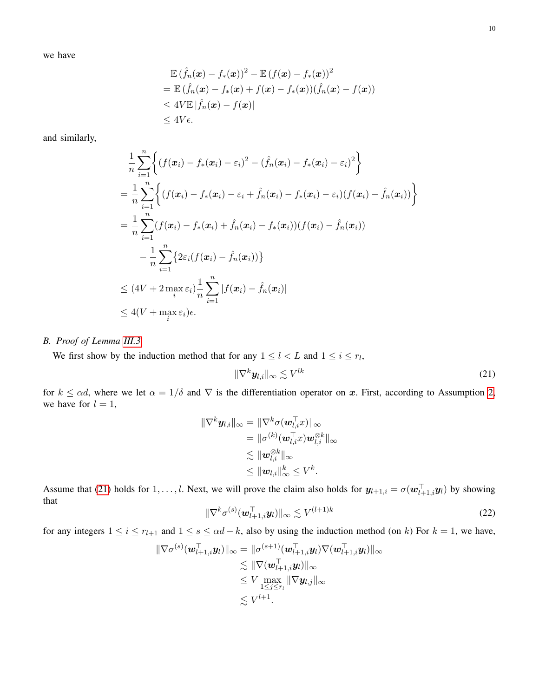we have

$$
\mathbb{E} \left( \hat{f}_n(\boldsymbol{x}) - f_*(\boldsymbol{x}) \right)^2 - \mathbb{E} \left( f(\boldsymbol{x}) - f_*(\boldsymbol{x}) \right)^2 \n= \mathbb{E} \left( \hat{f}_n(\boldsymbol{x}) - f_*(\boldsymbol{x}) + f(\boldsymbol{x}) - f_*(\boldsymbol{x}) \right) \left( \hat{f}_n(\boldsymbol{x}) - f(\boldsymbol{x}) \right) \n\leq 4V \mathbb{E} \left| \hat{f}_n(\boldsymbol{x}) - f(\boldsymbol{x}) \right| \n\leq 4V \epsilon.
$$

and similarly,

$$
\frac{1}{n}\sum_{i=1}^{n}\Biggl\{\left(f(\boldsymbol{x}_i)-f_*(\boldsymbol{x}_i)-\varepsilon_i\right)^2-\left(\hat{f}_n(\boldsymbol{x}_i)-f_*(\boldsymbol{x}_i)-\varepsilon_i\right)^2\Biggr\}
$$
\n
$$
=\frac{1}{n}\sum_{i=1}^{n}\Biggl\{\left(f(\boldsymbol{x}_i)-f_*(\boldsymbol{x}_i)-\varepsilon_i+\hat{f}_n(\boldsymbol{x}_i)-f_*(\boldsymbol{x}_i)-\varepsilon_i\right)\left(f(\boldsymbol{x}_i)-\hat{f}_n(\boldsymbol{x}_i)\right)\Biggr\}
$$
\n
$$
=\frac{1}{n}\sum_{i=1}^{n}(f(\boldsymbol{x}_i)-f_*(\boldsymbol{x}_i)+\hat{f}_n(\boldsymbol{x}_i)-f_*(\boldsymbol{x}_i)\right)\left(f(\boldsymbol{x}_i)-\hat{f}_n(\boldsymbol{x}_i)\right)
$$
\n
$$
-\frac{1}{n}\sum_{i=1}^{n}\Biggl\{2\varepsilon_i\left(f(\boldsymbol{x}_i)-\hat{f}_n(\boldsymbol{x}_i)\right)\Biggr\}
$$
\n
$$
\leq (4V+2\max_{i}\varepsilon_i)\frac{1}{n}\sum_{i=1}^{n}|f(\boldsymbol{x}_i)-\hat{f}_n(\boldsymbol{x}_i)|
$$
\n
$$
\leq 4(V+\max_{i}\varepsilon_i)\epsilon.
$$

# <span id="page-9-0"></span>*B. Proof of Lemma [III.3](#page-6-3)*

We first show by the induction method that for any  $1 \leq l < L$  and  $1 \leq i \leq r_l$ ,

<span id="page-9-1"></span>
$$
\|\nabla^k \boldsymbol{y}_{l,i}\|_{\infty} \lesssim V^{lk} \tag{21}
$$

for  $k \leq \alpha d$ , where we let  $\alpha = 1/\delta$  and  $\nabla$  is the differentiation operator on x. First, according to Assumption [2,](#page-3-2) we have for  $l = 1$ ,

$$
\begin{aligned} \|\nabla^k \bm{y}_{l,i}\|_\infty &= \|\nabla^k \sigma(\bm{w}_{l,i}^\top x)\|_\infty \\ &= \|\sigma^{(k)}(\bm{w}_{l,i}^\top x)\bm{w}_{l,i}^{\otimes k}\|_\infty \\ &\lesssim \|\bm{w}_{l,i}^{\otimes k}\|_\infty \\ &\leq \|\bm{w}_{l,i}\|_\infty^k \leq V^k. \end{aligned}
$$

Assume that [\(21\)](#page-9-1) holds for  $1, \ldots, l$ . Next, we will prove the claim also holds for  $y_{l+1,i} = \sigma(w_{l+1,i}^{\top} y_l)$  by showing that

<span id="page-9-2"></span>
$$
\|\nabla^k \sigma^{(s)}(\boldsymbol{w}_{l+1,i}^\top \boldsymbol{y}_l)\|_{\infty} \lesssim V^{(l+1)k} \tag{22}
$$

for any integers  $1 \le i \le r_{l+1}$  and  $1 \le s \le \alpha d - k$ , also by using the induction method (on k) For  $k = 1$ , we have,

$$
\begin{aligned} \|\nabla\sigma^{(s)}(\boldsymbol{w}_{l+1,i}^{\top}\boldsymbol{y}_{l})\|_{\infty} & = \|\sigma^{(s+1)}(\boldsymbol{w}_{l+1,i}^{\top}\boldsymbol{y}_{l})\nabla(\boldsymbol{w}_{l+1,i}^{\top}\boldsymbol{y}_{l})\|_{\infty} \\ & \lesssim \|\nabla(\boldsymbol{w}_{l+1,i}^{\top}\boldsymbol{y}_{l})\|_{\infty} \\ & \leq V \max_{1 \leq j \leq r_{l}} \|\nabla \boldsymbol{y}_{l,j}\|_{\infty} \\ & \lesssim V^{l+1}. \end{aligned}
$$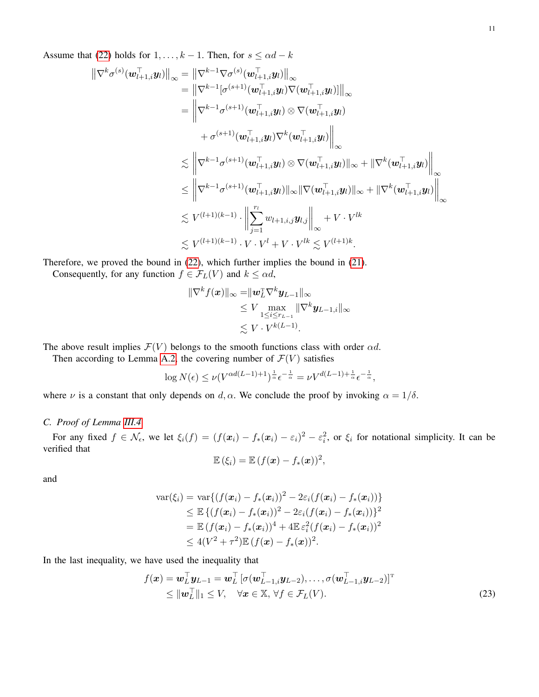Assume that [\(22\)](#page-9-2) holds for  $1, \ldots, k - 1$ . Then, for  $s \leq \alpha d - k$ 

$$
\begin{aligned} \left\| \nabla ^k \sigma^{(s)} (\bm w_{l+1,i}^{\top} \bm y_l) \right\|_{\infty} &= \left\| \nabla ^{k-1} \nabla \sigma^{(s)} (\bm w_{l+1,i}^{\top} \bm y_l) \right\|_{\infty} \\ &= \left\| \nabla ^{k-1} [\sigma^{(s+1)} (\bm w_{l+1,i}^{\top} \bm y_l) \otimes \nabla (\bm w_{l+1,i}^{\top} \bm y_l)] \right\|_{\infty} \\ &= \left\| \nabla ^{k-1} \sigma^{(s+1)} (\bm w_{l+1,i}^{\top} \bm y_l) \otimes \nabla (\bm w_{l+1,i}^{\top} \bm y_l) \right\|_{\infty} \\ & \quad \ \leq \left\| \nabla ^{k-1} \sigma^{(s+1)} (\bm w_{l+1,i}^{\top} \bm y_l) \otimes \nabla (\bm w_{l+1,i}^{\top} \bm y_l) \right\|_{\infty} + \left\| \nabla ^k (\bm w_{l+1,i}^{\top} \bm y_l) \right\|_{\infty} \\ & \quad \ \leq \left\| \nabla ^{k-1} \sigma^{(s+1)} (\bm w_{l+1,i}^{\top} \bm y_l) \otimes \nabla (\bm w_{l+1,i}^{\top} \bm y_l) \right\|_{\infty} + \left\| \nabla ^k (\bm w_{l+1,i}^{\top} \bm y_l) \right\|_{\infty} \\ & \quad \ \leq V^{(l+1)(k-1)} \cdot \left\| \sum_{j=1}^{r_l} w_{l+1,i,j} \bm y_{l,j} \right\|_{\infty} + V \cdot V^{lk} \\ & \quad \ \leq V^{(l+1)(k-1)} \cdot V \cdot V^l + V \cdot V^{lk} \lesssim V^{(l+1)k}. \end{aligned}
$$

Therefore, we proved the bound in [\(22\)](#page-9-2), which further implies the bound in [\(21\)](#page-9-1).

Consequently, for any function  $f \in \mathcal{F}_L(V)$  and  $k \leq \alpha d$ ,

$$
\begin{aligned} \|\nabla^k f(\boldsymbol{x})\|_{\infty} &= \|\boldsymbol{w}_L^{\mathrm{T}} \nabla^k \boldsymbol{y}_{L-1}\|_{\infty} \\ &\leq V \max_{1 \leq i \leq r_{L-1}} \|\nabla^k \boldsymbol{y}_{L-1,i}\|_{\infty} \\ &\leq V \cdot V^{k(L-1)}. \end{aligned}
$$

The above result implies  $\mathcal{F}(V)$  belongs to the smooth functions class with order  $\alpha d$ .

Then according to Lemma [A.2,](#page-11-1) the covering number of  $\mathcal{F}(V)$  satisfies

<span id="page-10-1"></span>
$$
\log N(\epsilon)\leq \nu(V^{\alpha d(L-1)+1})^{\frac{1}{\alpha}}\epsilon^{-\frac{1}{\alpha}}=\nu V^{d(L-1)+\frac{1}{\alpha}}\epsilon^{-\frac{1}{\alpha}},
$$

where  $\nu$  is a constant that only depends on d,  $\alpha$ . We conclude the proof by invoking  $\alpha = 1/\delta$ .

# <span id="page-10-0"></span>*C. Proof of Lemma [III.4](#page-6-4)*

For any fixed  $f \in \mathcal{N}_{\epsilon}$ , we let  $\xi_i(f) = (f(\mathbf{x}_i) - f_*(\mathbf{x}_i) - \epsilon_i)^2 - \epsilon_i^2$ , or  $\xi_i$  for notational simplicity. It can be verified that

$$
\mathbb{E}(\xi_i) = \mathbb{E} (f(\boldsymbol{x}) - f_*(\boldsymbol{x}))^2,
$$

and

$$
\begin{aligned}\n\text{var}(\xi_i) &= \text{var}\{(f(\boldsymbol{x}_i) - f_*(\boldsymbol{x}_i))^2 - 2\varepsilon_i(f(\boldsymbol{x}_i) - f_*(\boldsymbol{x}_i))\} \\
&\leq \mathbb{E}\left\{(f(\boldsymbol{x}_i) - f_*(\boldsymbol{x}_i))^2 - 2\varepsilon_i(f(\boldsymbol{x}_i) - f_*(\boldsymbol{x}_i))\right\}^2 \\
&= \mathbb{E}\left(f(\boldsymbol{x}_i) - f_*(\boldsymbol{x}_i)\right)^4 + 4\mathbb{E}\,\varepsilon_i^2(f(\boldsymbol{x}_i) - f_*(\boldsymbol{x}_i))^2 \\
&\leq 4(V^2 + \tau^2)\mathbb{E}\left(f(\boldsymbol{x}) - f_*(\boldsymbol{x})\right)^2.\n\end{aligned}
$$

In the last inequality, we have used the inequality that

$$
f(\boldsymbol{x}) = \boldsymbol{w}_L^\top \boldsymbol{y}_{L-1} = \boldsymbol{w}_L^\top \left[ \sigma(\boldsymbol{w}_{L-1,i}^\top \boldsymbol{y}_{L-2}), \dots, \sigma(\boldsymbol{w}_{L-1,i}^\top \boldsymbol{y}_{L-2}) \right]^\top
$$
  
\n
$$
\leq ||\boldsymbol{w}_L^\top||_1 \leq V, \quad \forall \boldsymbol{x} \in \mathbb{X}, \forall f \in \mathcal{F}_L(V). \tag{23}
$$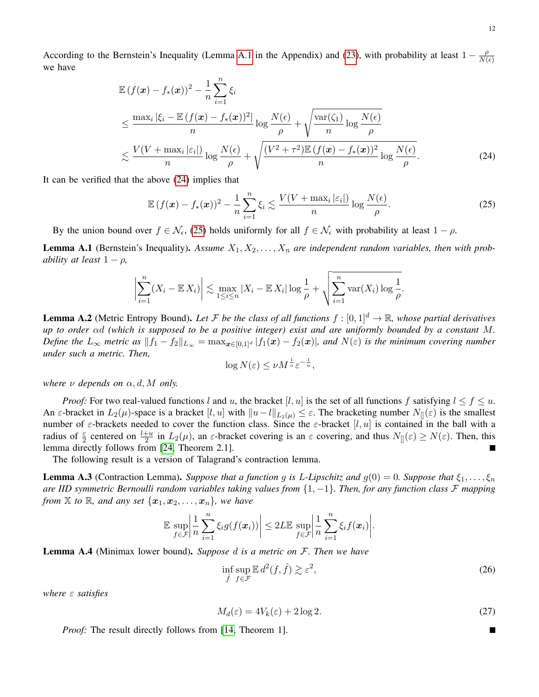According to the Bernstein's Inequality (Lemma [A.1](#page-11-2) in the Appendix) and [\(23\)](#page-10-1), with probability at least  $1 - \frac{\rho}{N}$  $N(\epsilon)$ we have

$$
\mathbb{E}\left(f(\boldsymbol{x}) - f_*(\boldsymbol{x})\right)^2 - \frac{1}{n} \sum_{i=1}^n \xi_i
$$
\n
$$
\leq \frac{\max_i |\xi_i - \mathbb{E}\left(f(\boldsymbol{x}) - f_*(\boldsymbol{x})\right)^2|}{n} \log \frac{N(\epsilon)}{\rho} + \sqrt{\frac{\text{var}(\zeta_1)}{n} \log \frac{N(\epsilon)}{\rho}}
$$
\n
$$
\lesssim \frac{V(V + \max_i |\varepsilon_i|)}{n} \log \frac{N(\epsilon)}{\rho} + \sqrt{\frac{(V^2 + \tau^2)\mathbb{E}\left(f(\boldsymbol{x}) - f_*(\boldsymbol{x})\right)^2}{n} \log \frac{N(\epsilon)}{\rho}}.
$$
\n(24)

It can be verified that the above [\(24\)](#page-11-3) implies that

$$
\mathbb{E}\left(f(\boldsymbol{x})-f_*(\boldsymbol{x})\right)^2 - \frac{1}{n}\sum_{i=1}^n \xi_i \lesssim \frac{V(V+\max_i|\varepsilon_i|)}{n}\log\frac{N(\epsilon)}{\rho}.\tag{25}
$$

By the union bound over  $f \in \mathcal{N}_{\epsilon}$ , [\(25\)](#page-11-4) holds uniformly for all  $f \in \mathcal{N}_{\epsilon}$  with probability at least  $1 - \rho$ .

<span id="page-11-2"></span>**Lemma A.1** (Bernstein's Inequality). Assume  $X_1, X_2, \ldots, X_n$  are independent random variables, then with prob*ability at least*  $1 - \rho$ *,* 

$$
\left|\sum_{i=1}^n (X_i - \mathbb{E} X_i)\right| \lesssim \max_{1 \leq i \leq n} |X_i - \mathbb{E} X_i| \log \frac{1}{\rho} + \sqrt{\sum_{i=1}^n \text{var}(X_i) \log \frac{1}{\rho}}.
$$

<span id="page-11-1"></span>**Lemma A.2** (Metric Entropy Bound). Let F be the class of all functions  $f : [0,1]^d \to \mathbb{R}$ , whose partial derivatives *up to order* αd *(which is supposed to be a positive integer) exist and are uniformly bounded by a constant* M*. Define the*  $L_{\infty}$  *metric as*  $||f_1 - f_2||_{L_{\infty}} = \max_{x \in [0,1]^d} |f_1(x) - f_2(x)|$ *, and*  $N(\varepsilon)$  *is the minimum covering number under such a metric. Then,*

<span id="page-11-4"></span><span id="page-11-3"></span>
$$
\log N(\varepsilon) \le \nu M^{\frac{1}{\alpha}} \varepsilon^{-\frac{1}{\alpha}},
$$

*where*  $\nu$  *depends on*  $\alpha$ ,  $d$ ,  $M$  *only.* 

*Proof:* For two real-valued functions l and u, the bracket [l, u] is the set of all functions f satisfying  $l \le f \le u$ . An  $\varepsilon$ -bracket in  $L_2(\mu)$ -space is a bracket  $[l, u]$  with  $||u - l||_{L_2(\mu)} \leq \varepsilon$ . The bracketing number  $N_{\Pi}(\varepsilon)$  is the smallest number of  $\varepsilon$ -brackets needed to cover the function class. Since the  $\varepsilon$ -bracket  $[l, u]$  is contained in the ball with a radius of  $\frac{\varepsilon}{2}$  centered on  $\frac{l+u}{2}$  in  $L_2(\mu)$ , an  $\varepsilon$ -bracket covering is an  $\varepsilon$  covering, and thus  $N_{[]}(\varepsilon) \ge N(\varepsilon)$ . Then, this lemma directly follows from [\[24,](#page-14-22) Theorem 2.1].

The following result is a version of Talagrand's contraction lemma.

<span id="page-11-6"></span>**Lemma A.3** (Contraction Lemma). *Suppose that a function g is L-Lipschitz and*  $g(0) = 0$ *. Suppose that*  $\xi_1, \ldots, \xi_n$ *are IID symmetric Bernoulli random variables taking values from* {1, −1}*. Then, for any function class* F *mapping from*  $X$  *to*  $\mathbb{R}$ *, and any set*  $\{x_1, x_2, \ldots, x_n\}$ *, we have* 

$$
\mathbb{E}\sup_{f\in\mathcal{F}}\left|\frac{1}{n}\sum_{i=1}^n\xi_ig(f(\boldsymbol{x}_i))\right|\leq 2L\mathbb{E}\sup_{f\in\mathcal{F}}\left|\frac{1}{n}\sum_{i=1}^n\xi_if(\boldsymbol{x}_i)\right|.
$$

<span id="page-11-5"></span>Lemma A.4 (Minimax lower bound). *Suppose* d *is a metric on* F*. Then we have*

$$
\inf_{\hat{f}} \sup_{f \in \mathcal{F}} \mathbb{E} \, d^2(f, \hat{f}) \gtrsim \varepsilon^2,\tag{26}
$$

*where* ε *satisfies*

$$
M_d(\varepsilon) = 4V_k(\varepsilon) + 2\log 2. \tag{27}
$$

*Proof:* The result directly follows from [\[14,](#page-14-12) Theorem 1].

<span id="page-11-0"></span>П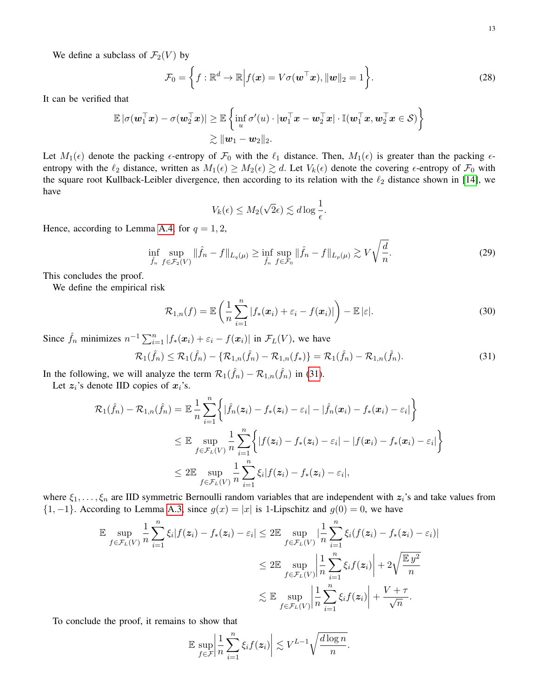We define a subclass of  $\mathcal{F}_2(V)$  by

$$
\mathcal{F}_0 = \left\{ f : \mathbb{R}^d \to \mathbb{R} \Big| f(\boldsymbol{x}) = V\sigma(\boldsymbol{w}^\top \boldsymbol{x}), \|\boldsymbol{w}\|_2 = 1 \right\}.
$$
 (28)

It can be verified that

$$
\mathbb{E} |\sigma(\boldsymbol{w}_1^\top \boldsymbol{x}) - \sigma(\boldsymbol{w}_2^\top \boldsymbol{x})| \geq \mathbb{E} \left\{ \inf_{u} \sigma'(u) \cdot |\boldsymbol{w}_1^\top \boldsymbol{x} - \boldsymbol{w}_2^\top \boldsymbol{x}| \cdot \mathbb{I}(\boldsymbol{w}_1^\top \boldsymbol{x}, \boldsymbol{w}_2^\top \boldsymbol{x} \in \mathcal{S}) \right\} \\ \geqslant \|\boldsymbol{w}_1 - \boldsymbol{w}_2\|_2.
$$

Let  $M_1(\epsilon)$  denote the packing  $\epsilon$ -entropy of  $\mathcal{F}_0$  with the  $\ell_1$  distance. Then,  $M_1(\epsilon)$  is greater than the packing  $\epsilon$ entropy with the  $\ell_2$  distance, written as  $M_1(\epsilon) \geq M_2(\epsilon) \gtrsim d$ . Let  $V_k(\epsilon)$  denote the covering  $\epsilon$ -entropy of  $\mathcal{F}_0$  with the square root Kullback-Leibler divergence, then according to its relation with the  $\ell_2$  distance shown in [\[14\]](#page-14-12), we have

$$
V_k(\epsilon) \le M_2(\sqrt{2}\epsilon) \lesssim d \log \frac{1}{\epsilon}.
$$

Hence, according to Lemma [A.4,](#page-11-5) for  $q = 1, 2$ ,

<span id="page-12-0"></span>
$$
\inf_{\hat{f}_n} \sup_{f \in \mathcal{F}_2(V)} \|\hat{f}_n - f\|_{L_q(\mu)} \ge \inf_{\hat{f}_n} \sup_{f \in \mathcal{F}_0} \|\hat{f}_n - f\|_{L_p(\mu)} \gtrsim V \sqrt{\frac{d}{n}}.
$$
\n(29)

This concludes the proof.

We define the empirical risk

$$
\mathcal{R}_{1,n}(f) = \mathbb{E}\left(\frac{1}{n}\sum_{i=1}^n |f_*(\boldsymbol{x}_i) + \varepsilon_i - f(\boldsymbol{x}_i)|\right) - \mathbb{E}|\varepsilon|.
$$
\n(30)

Since  $\hat{f}_n$  minimizes  $n^{-1} \sum_{i=1}^n |f_*(x_i) + \varepsilon_i - f(x_i)|$  in  $\mathcal{F}_L(V)$ , we have

<span id="page-12-1"></span>
$$
\mathcal{R}_1(\hat{f}_n) \le \mathcal{R}_1(\hat{f}_n) - \{ \mathcal{R}_{1,n}(\hat{f}_n) - \mathcal{R}_{1,n}(f_*) \} = \mathcal{R}_1(\hat{f}_n) - \mathcal{R}_{1,n}(\hat{f}_n). \tag{31}
$$

In the following, we will analyze the term  $\mathcal{R}_1(\hat{f}_n) - \mathcal{R}_{1,n}(\hat{f}_n)$  in [\(31\)](#page-12-1).

Let  $z_i$ 's denote IID copies of  $x_i$ 's.

$$
\mathcal{R}_1(\hat{f}_n) - \mathcal{R}_{1,n}(\hat{f}_n) = \mathbb{E} \frac{1}{n} \sum_{i=1}^n \left\{ |\hat{f}_n(z_i) - f_*(z_i) - \varepsilon_i| - |\hat{f}_n(x_i) - f_*(x_i) - \varepsilon_i| \right\}
$$
  
\n
$$
\leq \mathbb{E} \sup_{f \in \mathcal{F}_L(V)} \frac{1}{n} \sum_{i=1}^n \left\{ |f(z_i) - f_*(z_i) - \varepsilon_i| - |f(x_i) - f_*(x_i) - \varepsilon_i| \right\}
$$
  
\n
$$
\leq 2 \mathbb{E} \sup_{f \in \mathcal{F}_L(V)} \frac{1}{n} \sum_{i=1}^n \xi_i |f(z_i) - f_*(z_i) - \varepsilon_i|,
$$

where  $\xi_1, \ldots, \xi_n$  are IID symmetric Bernoulli random variables that are independent with  $z_i$ 's and take values from  $\{1, -1\}$ . According to Lemma [A.3,](#page-11-6) since  $g(x) = |x|$  is 1-Lipschitz and  $g(0) = 0$ , we have

$$
\mathbb{E} \sup_{f \in \mathcal{F}_L(V)} \frac{1}{n} \sum_{i=1}^n \xi_i |f(z_i) - f_*(z_i) - \varepsilon_i| \leq 2 \mathbb{E} \sup_{f \in \mathcal{F}_L(V)} |\frac{1}{n} \sum_{i=1}^n \xi_i (f(z_i) - f_*(z_i) - \varepsilon_i)|
$$
  

$$
\leq 2 \mathbb{E} \sup_{f \in \mathcal{F}_L(V)} \left| \frac{1}{n} \sum_{i=1}^n \xi_i f(z_i) \right| + 2 \sqrt{\frac{\mathbb{E} y^2}{n}}
$$
  

$$
\lesssim \mathbb{E} \sup_{f \in \mathcal{F}_L(V)} \left| \frac{1}{n} \sum_{i=1}^n \xi_i f(z_i) \right| + \frac{V + \tau}{\sqrt{n}}.
$$

To conclude the proof, it remains to show that

$$
\mathbb{E} \sup_{f \in \mathcal{F}} \left| \frac{1}{n} \sum_{i=1}^n \xi_i f(z_i) \right| \lesssim V^{L-1} \sqrt{\frac{d \log n}{n}}.
$$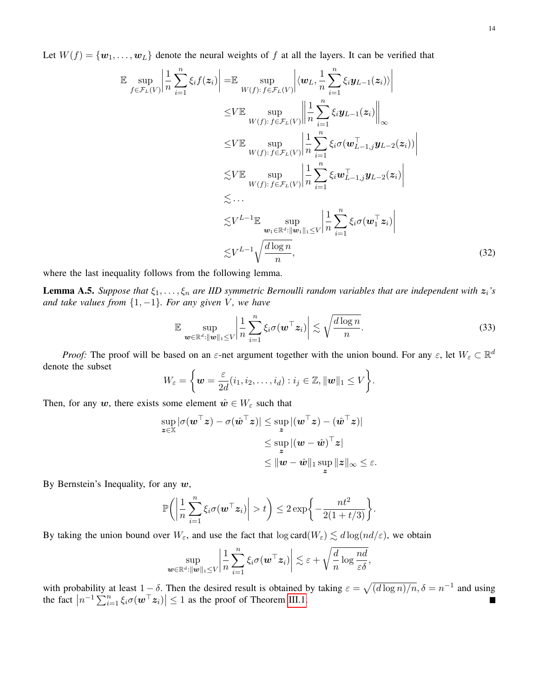Let  $W(f) = \{w_1, \ldots, w_L\}$  denote the neural weights of f at all the layers. It can be verified that

$$
\mathbb{E} \sup_{f \in \mathcal{F}_L(V)} \left| \frac{1}{n} \sum_{i=1}^n \xi_i f(z_i) \right| = \mathbb{E} \sup_{W(f) : f \in \mathcal{F}_L(V)} \left| \left\langle \boldsymbol{w}_L, \frac{1}{n} \sum_{i=1}^n \xi_i \boldsymbol{y}_{L-1}(z_i) \right\rangle \right|
$$
\n
$$
\leq V \mathbb{E} \sup_{W(f) : f \in \mathcal{F}_L(V)} \left\| \frac{1}{n} \sum_{i=1}^n \xi_i \boldsymbol{y}_{L-1}(z_i) \right\|_{\infty}
$$
\n
$$
\leq V \mathbb{E} \sup_{W(f) : f \in \mathcal{F}_L(V)} \left| \frac{1}{n} \sum_{i=1}^n \xi_i \sigma(\boldsymbol{w}_{L-1,j}^T \boldsymbol{y}_{L-2}(z_i)) \right|
$$
\n
$$
\leq V \mathbb{E} \sup_{W(f) : f \in \mathcal{F}_L(V)} \left| \frac{1}{n} \sum_{i=1}^n \xi_i \boldsymbol{w}_{L-1,j}^T \boldsymbol{y}_{L-2}(z_i) \right|
$$
\n
$$
\leq \cdots
$$
\n
$$
\leq V^{L-1} \mathbb{E} \sup_{\boldsymbol{w}_1 \in \mathbb{R}^d : \|\boldsymbol{w}_1\|_1 \leq V} \left| \frac{1}{n} \sum_{i=1}^n \xi_i \sigma(\boldsymbol{w}_1^T \boldsymbol{z}_i) \right|
$$
\n
$$
\leq V^{L-1} \sqrt{\frac{d \log n}{n}}, \tag{32}
$$

where the last inequality follows from the following lemma.

**Lemma A.5.** *Suppose that*  $\xi_1, \ldots, \xi_n$  *are IID symmetric Bernoulli random variables that are independent with*  $z_i$ *'s and take values from*  $\{1, -1\}$ *. For any given V, we have* 

$$
\mathbb{E} \sup_{\boldsymbol{w}\in\mathbb{R}^d:\|\boldsymbol{w}\|_1\leq V} \left|\frac{1}{n}\sum_{i=1}^n \xi_i \sigma(\boldsymbol{w}^\top \boldsymbol{z}_i)\right| \lesssim \sqrt{\frac{d\log n}{n}}.
$$
 (33)

*Proof:* The proof will be based on an  $\varepsilon$ -net argument together with the union bound. For any  $\varepsilon$ , let  $W_{\varepsilon} \subset \mathbb{R}^d$ denote the subset

$$
W_{\varepsilon} = \left\{ \boldsymbol{w} = \frac{\varepsilon}{2d}(i_1, i_2, \dots, i_d) : i_j \in \mathbb{Z}, ||\boldsymbol{w}||_1 \le V \right\}.
$$

Then, for any w, there exists some element  $\hat{w} \in W_{\varepsilon}$  such that

$$
\sup_{\boldsymbol{z}\in\mathbb{X}}|\sigma(\boldsymbol{w}^\top\boldsymbol{z})-\sigma(\hat{\boldsymbol{w}}^\top\boldsymbol{z})|\leq \sup_{\boldsymbol{z}}|(\boldsymbol{w}^\top\boldsymbol{z})-(\hat{\boldsymbol{w}}^\top\boldsymbol{z})|\\\leq \sup_{\boldsymbol{z}}|(\boldsymbol{w}-\hat{\boldsymbol{w}})^\top\boldsymbol{z}|\\\leq \|\boldsymbol{w}-\hat{\boldsymbol{w}}\|_1\sup_{\boldsymbol{z}}\|\boldsymbol{z}\|_\infty\leq\varepsilon.
$$

By Bernstein's Inequality, for any  $w$ ,

$$
\mathbb{P}\bigg(\bigg|\frac{1}{n}\sum_{i=1}^n\xi_i\sigma(\boldsymbol{w}^\top\boldsymbol{z}_i)\bigg|>t\bigg)\leq 2\exp\bigg\{-\frac{nt^2}{2(1+t/3)}\bigg\}.
$$

By taking the union bound over  $W_{\varepsilon}$ , and use the fact that  $\log \text{card}(W_{\varepsilon}) \lesssim d \log(nd/\varepsilon)$ , we obtain

$$
\sup_{\bm{w}\in\mathbb{R}^d:\|\bm{w}\|_1\leq V}\left|\frac{1}{n}\sum_{i=1}^n\xi_i\sigma(\bm{w}^\top\bm{z}_i)\right|\lesssim \varepsilon+\sqrt{\frac{d}{n}\log\frac{nd}{\varepsilon\delta}},
$$

with probability at least  $1-\delta$ . Then the desired result is obtained by taking  $\varepsilon = \sqrt{\frac{d \log n}{n}}$ ,  $\delta = n^{-1}$  and using the fact  $|n^{-1}\sum_{i=1}^n \xi_i \sigma(\boldsymbol{w}^\top \boldsymbol{z}_i)| \leq 1$  as the proof of Theorem [III.1.](#page-4-3)